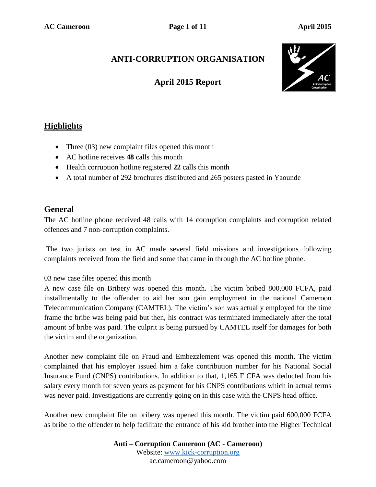# **ANTI-CORRUPTION ORGANISATION**

## **April 2015 Report**



## **Highlights**

- Three (03) new complaint files opened this month
- AC hotline receives **48** calls this month
- Health corruption hotline registered 22 calls this month
- A total number of 292 brochures distributed and 265 posters pasted in Yaounde

## **General**

The AC hotline phone received 48 calls with 14 corruption complaints and corruption related offences and 7 non-corruption complaints.

The two jurists on test in AC made several field missions and investigations following complaints received from the field and some that came in through the AC hotline phone.

#### 03 new case files opened this month

A new case file on Bribery was opened this month. The victim bribed 800,000 FCFA, paid installmentally to the offender to aid her son gain employment in the national Cameroon Telecommunication Company (CAMTEL). The victim's son was actually employed for the time frame the bribe was being paid but then, his contract was terminated immediately after the total amount of bribe was paid. The culprit is being pursued by CAMTEL itself for damages for both the victim and the organization.

Another new complaint file on Fraud and Embezzlement was opened this month. The victim complained that his employer issued him a fake contribution number for his National Social Insurance Fund (CNPS) contributions. In addition to that, 1,165 F CFA was deducted from his salary every month for seven years as payment for his CNPS contributions which in actual terms was never paid. Investigations are currently going on in this case with the CNPS head office.

Another new complaint file on bribery was opened this month. The victim paid 600,000 FCFA as bribe to the offender to help facilitate the entrance of his kid brother into the Higher Technical

> **Anti – Corruption Cameroon (AC - Cameroon)** Website: www.kick-corruption.org ac.cameroon@yahoo.com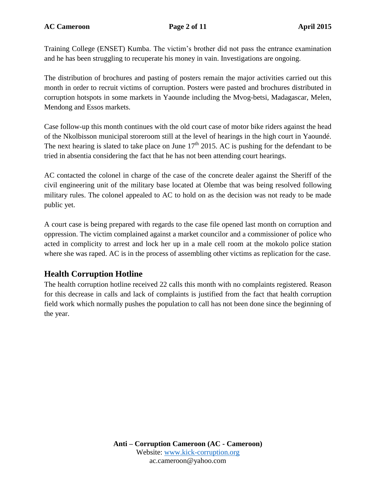**AC Cameroon Page 2 of 11 April 2015**

Training College (ENSET) Kumba. The victim's brother did not pass the entrance examination and he has been struggling to recuperate his money in vain. Investigations are ongoing.

The distribution of brochures and pasting of posters remain the major activities carried out this month in order to recruit victims of corruption. Posters were pasted and brochures distributed in corruption hotspots in some markets in Yaounde including the Mvog-betsi, Madagascar, Melen, Mendong and Essos markets.

Case follow-up this month continues with the old court case of motor bike riders against the head of the Nkolbisson municipal storeroom still at the level of hearings in the high court in Yaoundé. The next hearing is slated to take place on June  $17<sup>th</sup>$  2015. AC is pushing for the defendant to be tried in absentia considering the fact that he has not been attending court hearings.

AC contacted the colonel in charge of the case of the concrete dealer against the Sheriff of the civil engineering unit of the military base located at Olembe that was being resolved following military rules. The colonel appealed to AC to hold on as the decision was not ready to be made public yet.

A court case is being prepared with regards to the case file opened last month on corruption and oppression. The victim complained against a market councilor and a commissioner of police who acted in complicity to arrest and lock her up in a male cell room at the mokolo police station where she was raped. AC is in the process of assembling other victims as replication for the case.

## **Health Corruption Hotline**

The health corruption hotline received 22 calls this month with no complaints registered. Reason for this decrease in calls and lack of complaints is justified from the fact that health corruption field work which normally pushes the population to call has not been done since the beginning of the year.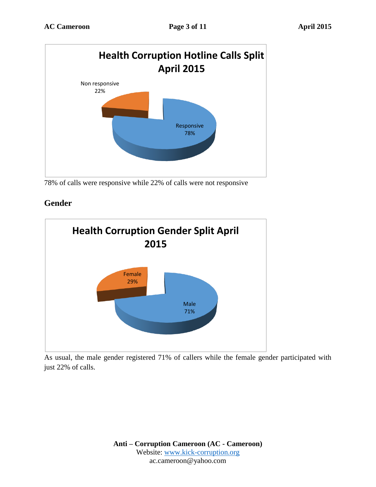

78% of calls were responsive while 22% of calls were not responsive

## **Gender**



As usual, the male gender registered 71% of callers while the female gender participated with just 22% of calls.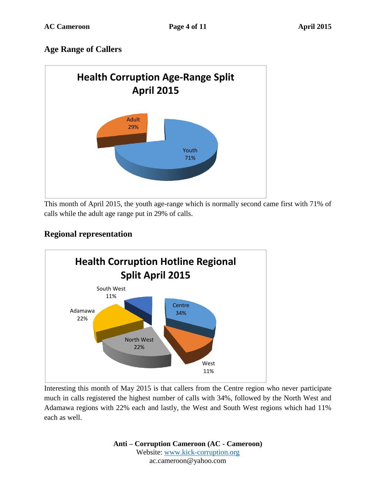## **Age Range of Callers**



This month of April 2015, the youth age-range which is normally second came first with 71% of calls while the adult age range put in 29% of calls.

## **Regional representation**



Interesting this month of May 2015 is that callers from the Centre region who never participate much in calls registered the highest number of calls with 34%, followed by the North West and Adamawa regions with 22% each and lastly, the West and South West regions which had 11% each as well.

> **Anti – Corruption Cameroon (AC - Cameroon)** Website: www.kick-corruption.org ac.cameroon@yahoo.com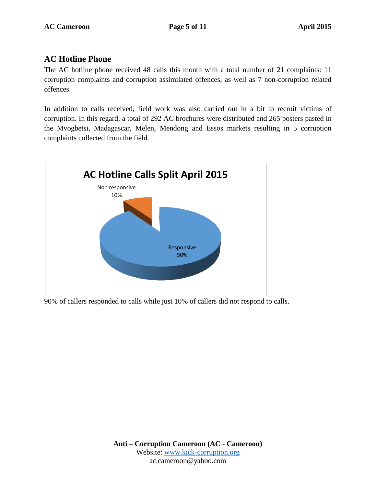### **AC Hotline Phone**

The AC hotline phone received 48 calls this month with a total number of 21 complaints: 11 corruption complaints and corruption assimilated offences, as well as 7 non-corruption related offences.

In addition to calls received, field work was also carried out in a bit to recruit victims of corruption. In this regard, a total of 292 AC brochures were distributed and 265 posters pasted in the Mvogbetsi, Madagascar, Melen, Mendong and Essos markets resulting in 5 corruption complaints collected from the field.



90% of callers responded to calls while just 10% of callers did not respond to calls.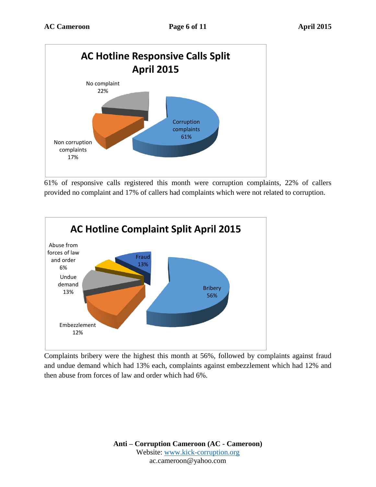

61% of responsive calls registered this month were corruption complaints, 22% of callers provided no complaint and 17% of callers had complaints which were not related to corruption.



Complaints bribery were the highest this month at 56%, followed by complaints against fraud and undue demand which had 13% each, complaints against embezzlement which had 12% and then abuse from forces of law and order which had 6%.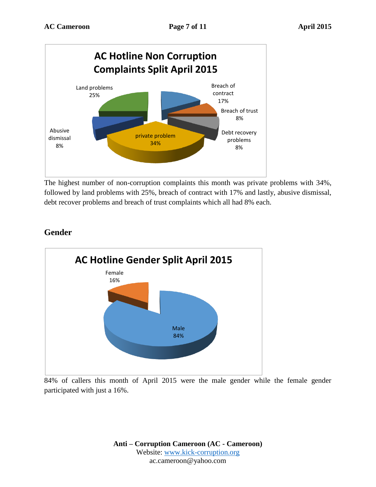

The highest number of non-corruption complaints this month was private problems with 34%, followed by land problems with 25%, breach of contract with 17% and lastly, abusive dismissal, debt recover problems and breach of trust complaints which all had 8% each.

# **Gender**



84% of callers this month of April 2015 were the male gender while the female gender participated with just a 16%.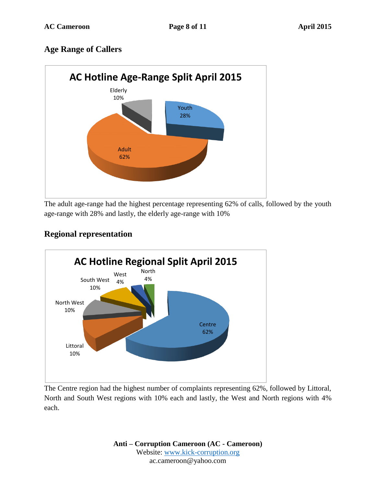## **Age Range of Callers**



The adult age-range had the highest percentage representing 62% of calls, followed by the youth age-range with 28% and lastly, the elderly age-range with 10%

## **Regional representation**



The Centre region had the highest number of complaints representing 62%, followed by Littoral, North and South West regions with 10% each and lastly, the West and North regions with 4% each.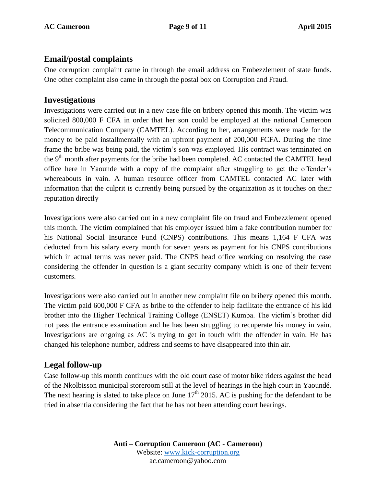### **Email/postal complaints**

One corruption complaint came in through the email address on Embezzlement of state funds. One other complaint also came in through the postal box on Corruption and Fraud.

### **Investigations**

Investigations were carried out in a new case file on bribery opened this month. The victim was solicited 800,000 F CFA in order that her son could be employed at the national Cameroon Telecommunication Company (CAMTEL). According to her, arrangements were made for the money to be paid installmentally with an upfront payment of 200,000 FCFA. During the time frame the bribe was being paid, the victim's son was employed. His contract was terminated on the 9<sup>th</sup> month after payments for the bribe had been completed. AC contacted the CAMTEL head office here in Yaounde with a copy of the complaint after struggling to get the offender's whereabouts in vain. A human resource officer from CAMTEL contacted AC later with information that the culprit is currently being pursued by the organization as it touches on their reputation directly

Investigations were also carried out in a new complaint file on fraud and Embezzlement opened this month. The victim complained that his employer issued him a fake contribution number for his National Social Insurance Fund (CNPS) contributions. This means 1,164 F CFA was deducted from his salary every month for seven years as payment for his CNPS contributions which in actual terms was never paid. The CNPS head office working on resolving the case considering the offender in question is a giant security company which is one of their fervent customers.

Investigations were also carried out in another new complaint file on bribery opened this month. The victim paid 600,000 F CFA as bribe to the offender to help facilitate the entrance of his kid brother into the Higher Technical Training College (ENSET) Kumba. The victim's brother did not pass the entrance examination and he has been struggling to recuperate his money in vain. Investigations are ongoing as AC is trying to get in touch with the offender in vain. He has changed his telephone number, address and seems to have disappeared into thin air.

### **Legal follow-up**

Case follow-up this month continues with the old court case of motor bike riders against the head of the Nkolbisson municipal storeroom still at the level of hearings in the high court in Yaoundé. The next hearing is slated to take place on June  $17<sup>th</sup>$  2015. AC is pushing for the defendant to be tried in absentia considering the fact that he has not been attending court hearings.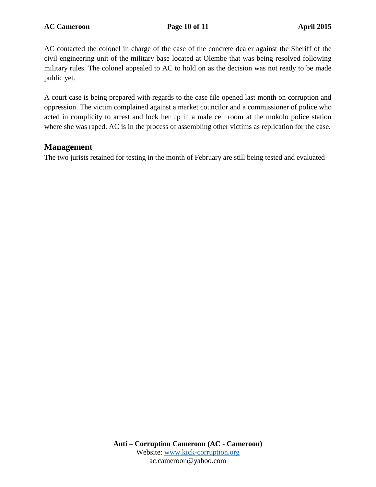AC contacted the colonel in charge of the case of the concrete dealer against the Sheriff of the civil engineering unit of the military base located at Olembe that was being resolved following military rules. The colonel appealed to AC to hold on as the decision was not ready to be made public yet.

A court case is being prepared with regards to the case file opened last month on corruption and oppression. The victim complained against a market councilor and a commissioner of police who acted in complicity to arrest and lock her up in a male cell room at the mokolo police station where she was raped. AC is in the process of assembling other victims as replication for the case.

### **Management**

The two jurists retained for testing in the month of February are still being tested and evaluated